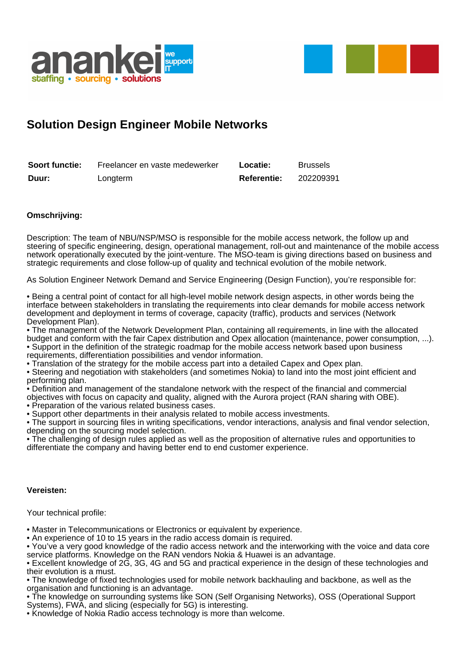



## **Solution Design Engineer Mobile Networks**

| Soort functie: | Freelancer en vaste medewerker | Locatie:           | <b>Brussels</b> |
|----------------|--------------------------------|--------------------|-----------------|
| Duur:          | Longterm                       | <b>Referentie:</b> | 202209391       |

## **Omschrijving:**

Description: The team of NBU/NSP/MSO is responsible for the mobile access network, the follow up and steering of specific engineering, design, operational management, roll-out and maintenance of the mobile access network operationally executed by the joint-venture. The MSO-team is giving directions based on business and strategic requirements and close follow-up of quality and technical evolution of the mobile network.

As Solution Engineer Network Demand and Service Engineering (Design Function), you're responsible for:

• Being a central point of contact for all high-level mobile network design aspects, in other words being the interface between stakeholders in translating the requirements into clear demands for mobile access network development and deployment in terms of coverage, capacity (traffic), products and services (Network Development Plan).

• The management of the Network Development Plan, containing all requirements, in line with the allocated budget and conform with the fair Capex distribution and Opex allocation (maintenance, power consumption, ...). • Support in the definition of the strategic roadmap for the mobile access network based upon business requirements, differentiation possibilities and vendor information.

• Translation of the strategy for the mobile access part into a detailed Capex and Opex plan.

• Steering and negotiation with stakeholders (and sometimes Nokia) to land into the most joint efficient and performing plan.

• Definition and management of the standalone network with the respect of the financial and commercial objectives with focus on capacity and quality, aligned with the Aurora project (RAN sharing with OBE).

• Preparation of the various related business cases.

• Support other departments in their analysis related to mobile access investments.

• The support in sourcing files in writing specifications, vendor interactions, analysis and final vendor selection, depending on the sourcing model selection.

• The challenging of design rules applied as well as the proposition of alternative rules and opportunities to differentiate the company and having better end to end customer experience.

## **Vereisten:**

Your technical profile:

• Master in Telecommunications or Electronics or equivalent by experience.

• An experience of 10 to 15 years in the radio access domain is required.

• You've a very good knowledge of the radio access network and the interworking with the voice and data core service platforms. Knowledge on the RAN vendors Nokia & Huawei is an advantage.

• Excellent knowledge of 2G, 3G, 4G and 5G and practical experience in the design of these technologies and their evolution is a must.

• The knowledge of fixed technologies used for mobile network backhauling and backbone, as well as the organisation and functioning is an advantage.

• The knowledge on surrounding systems like SON (Self Organising Networks), OSS (Operational Support Systems), FWA, and slicing (especially for 5G) is interesting.

• Knowledge of Nokia Radio access technology is more than welcome.